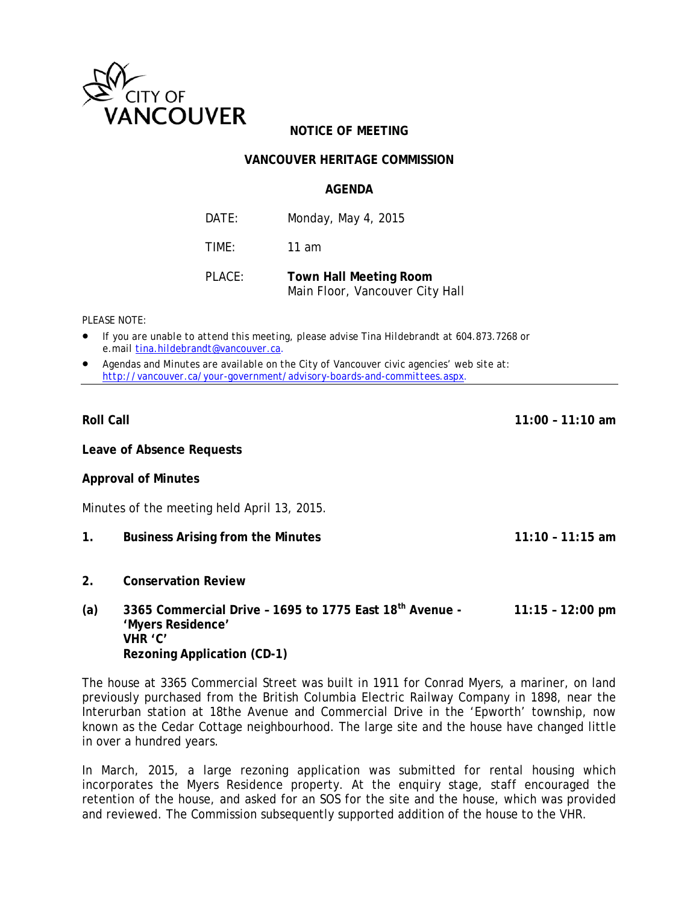

# **NOTICE OF MEETING**

## **VANCOUVER HERITAGE COMMISSION**

#### **AGENDA**

DATE: Monday, May 4, 2015

TIME: 11 am

PLACE: **Town Hall Meeting Room**  Main Floor, Vancouver City Hall

*PLEASE NOTE:* 

- *If you are unable to attend this meeting, please advise Tina Hildebrandt at 604.873.7268 or e.mail tina.hildebrandt@vancouver.ca*.
- *Agendas and Minutes are available on the City of Vancouver civic agencies' web site at: http://vancouver.ca/your-government/advisory-boards-and-committees.aspx*.

**Roll Call 11:00 – 11:10 am** 

**Leave of Absence Requests** 

#### **Approval of Minutes**

Minutes of the meeting held April 13, 2015.

- **1. Business Arising from the Minutes 11:10 11:15 am**
- **2. Conservation Review**
- **(a) 3365 Commercial Drive 1695 to 1775 East 18th Avenue 11:15 12:00 pm 'Myers Residence' VHR 'C' Rezoning Application (CD-1)**

The house at 3365 Commercial Street was built in 1911 for Conrad Myers, a mariner, on land previously purchased from the British Columbia Electric Railway Company in 1898, near the Interurban station at 18the Avenue and Commercial Drive in the 'Epworth' township, now known as the Cedar Cottage neighbourhood. The large site and the house have changed little in over a hundred years.

In March, 2015, a large rezoning application was submitted for rental housing which incorporates the Myers Residence property. At the enquiry stage, staff encouraged the retention of the house, and asked for an SOS for the site and the house, which was provided and reviewed. The Commission subsequently supported addition of the house to the VHR.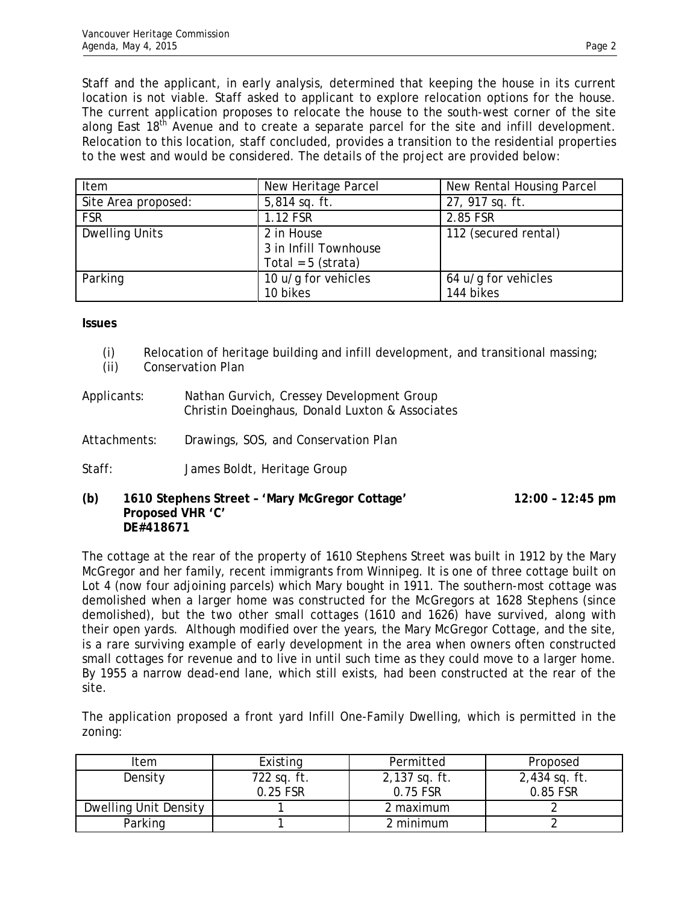Staff and the applicant, in early analysis, determined that keeping the house in its current location is not viable. Staff asked to applicant to explore relocation options for the house. The current application proposes to relocate the house to the south-west corner of the site along East  $18<sup>th</sup>$  Avenue and to create a separate parcel for the site and infill development. Relocation to this location, staff concluded, provides a transition to the residential properties to the west and would be considered. The details of the project are provided below:

| Item                  | New Heritage Parcel                                         | New Rental Housing Parcel        |
|-----------------------|-------------------------------------------------------------|----------------------------------|
| Site Area proposed:   | $5,814$ sq. ft.                                             | 27, 917 sq. ft.                  |
| <b>FSR</b>            | 1.12 FSR                                                    | 2.85 FSR                         |
| <b>Dwelling Units</b> | 2 in House<br>3 in Infill Townhouse<br>Total = $5$ (strata) | 112 (secured rental)             |
| Parking               | 10 u/g for vehicles<br>10 bikes                             | 64 u/g for vehicles<br>144 bikes |

**Issues**

- (i) Relocation of heritage building and infill development, and transitional massing;
- (ii) Conservation Plan
- Applicants: Nathan Gurvich, Cressey Development Group Christin Doeinghaus, Donald Luxton & Associates
- Attachments: Drawings, SOS, and Conservation Plan
- Staff: James Boldt, Heritage Group

## **(b) 1610 Stephens Street – 'Mary McGregor Cottage' 12:00 – 12:45 pm Proposed VHR 'C' DE#418671**

The cottage at the rear of the property of 1610 Stephens Street was built in 1912 by the Mary McGregor and her family, recent immigrants from Winnipeg. It is one of three cottage built on Lot 4 (now four adjoining parcels) which Mary bought in 1911. The southern-most cottage was demolished when a larger home was constructed for the McGregors at 1628 Stephens (since demolished), but the two other small cottages (1610 and 1626) have survived, along with their open yards. Although modified over the years, the Mary McGregor Cottage, and the site, is a rare surviving example of early development in the area when owners often constructed small cottages for revenue and to live in until such time as they could move to a larger home. By 1955 a narrow dead-end lane, which still exists, had been constructed at the rear of the site.

The application proposed a front yard Infill One-Family Dwelling, which is permitted in the zoning:

| Item                  | Existing    | Permitted     | Proposed        |
|-----------------------|-------------|---------------|-----------------|
| Density               | 722 sq. ft. | 2,137 sq. ft. | $2,434$ sq. ft. |
|                       | 0.25 FSR    | 0.75 FSR      | 0.85 FSR        |
| Dwelling Unit Density |             | 2 maximum     |                 |
| Parking               |             | 2 minimum     |                 |